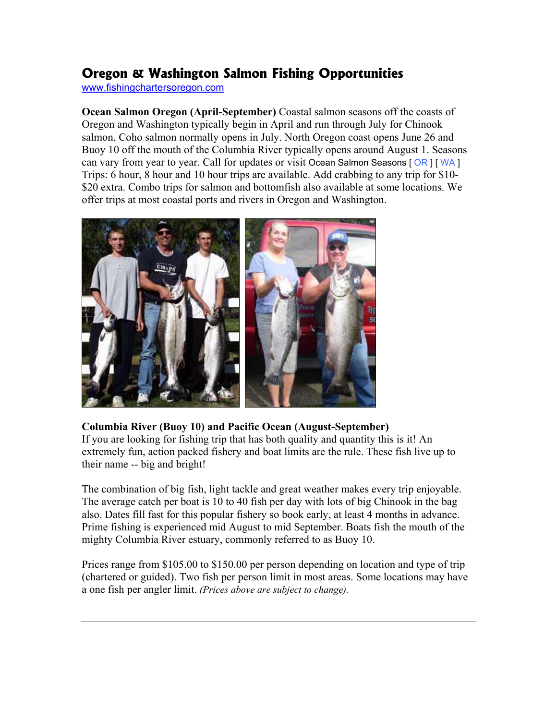# **Oregon & Washington Salmon Fishing Opportunities**

www.fishingchartersoregon.com

**Ocean Salmon Oregon (April-September)** Coastal salmon seasons off the coasts of Oregon and Washington typically begin in April and run through July for Chinook salmon, Coho salmon normally opens in July. North Oregon coast opens June 26 and Buoy 10 off the mouth of the Columbia River typically opens around August 1. Seasons can vary from year to year. Call for updates or visit Ocean Salmon Seasons [OR ] [WA ] Trips: 6 hour, 8 hour and 10 hour trips are available. Add crabbing to any trip for \$10- \$20 extra. Combo trips for salmon and bottomfish also available at some locations. We offer trips at most coastal ports and rivers in Oregon and Washington.



### **Columbia River (Buoy 10) and Pacific Ocean (August-September)**

If you are looking for fishing trip that has both quality and quantity this is it! An extremely fun, action packed fishery and boat limits are the rule. These fish live up to their name -- big and bright!

The combination of big fish, light tackle and great weather makes every trip enjoyable. The average catch per boat is 10 to 40 fish per day with lots of big Chinook in the bag also. Dates fill fast for this popular fishery so book early, at least 4 months in advance. Prime fishing is experienced mid August to mid September. Boats fish the mouth of the mighty Columbia River estuary, commonly referred to as Buoy 10.

Prices range from \$105.00 to \$150.00 per person depending on location and type of trip (chartered or guided). Two fish per person limit in most areas. Some locations may have a one fish per angler limit. *(Prices above are subject to change).*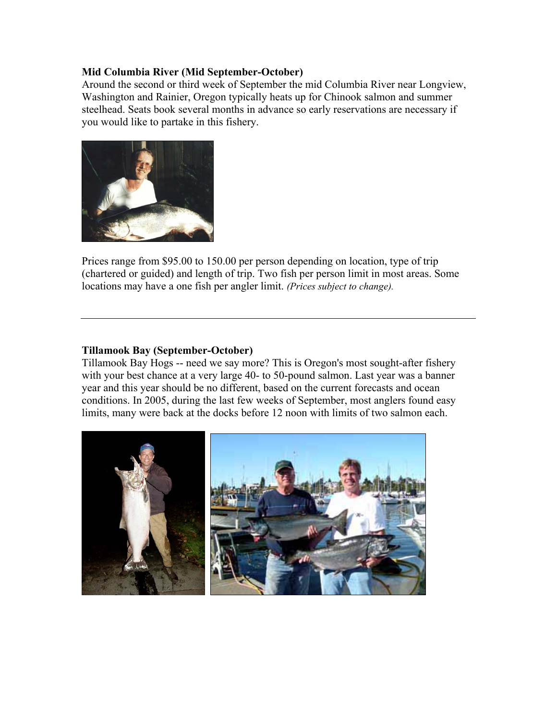#### **Mid Columbia River (Mid September-October)**

Around the second or third week of September the mid Columbia River near Longview, Washington and Rainier, Oregon typically heats up for Chinook salmon and summer steelhead. Seats book several months in advance so early reservations are necessary if you would like to partake in this fishery.



Prices range from \$95.00 to 150.00 per person depending on location, type of trip (chartered or guided) and length of trip. Two fish per person limit in most areas. Some locations may have a one fish per angler limit. *(Prices subject to change).*

#### **Tillamook Bay (September-October)**

Tillamook Bay Hogs -- need we say more? This is Oregon's most sought-after fishery with your best chance at a very large 40- to 50-pound salmon. Last year was a banner year and this year should be no different, based on the current forecasts and ocean conditions. In 2005, during the last few weeks of September, most anglers found easy limits, many were back at the docks before 12 noon with limits of two salmon each.

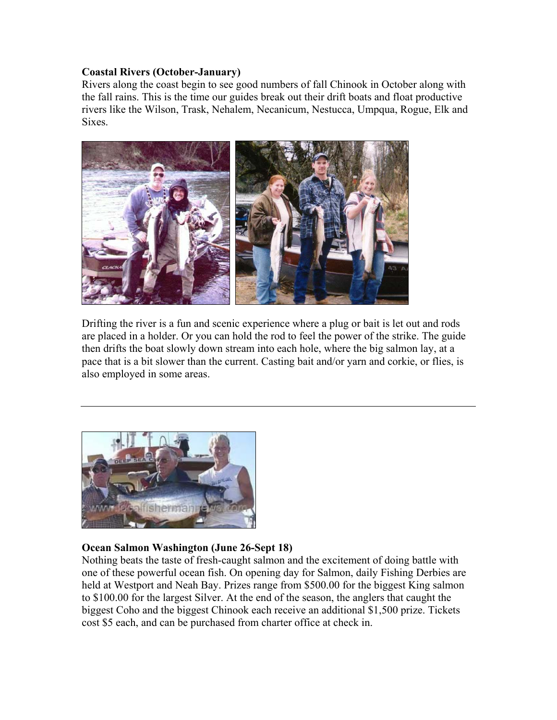#### **Coastal Rivers (October-January)**

Rivers along the coast begin to see good numbers of fall Chinook in October along with the fall rains. This is the time our guides break out their drift boats and float productive rivers like the Wilson, Trask, Nehalem, Necanicum, Nestucca, Umpqua, Rogue, Elk and Sixes.



Drifting the river is a fun and scenic experience where a plug or bait is let out and rods are placed in a holder. Or you can hold the rod to feel the power of the strike. The guide then drifts the boat slowly down stream into each hole, where the big salmon lay, at a pace that is a bit slower than the current. Casting bait and/or yarn and corkie, or flies, is also employed in some areas.



#### **Ocean Salmon Washington (June 26-Sept 18)**

Nothing beats the taste of fresh-caught salmon and the excitement of doing battle with one of these powerful ocean fish. On opening day for Salmon, daily Fishing Derbies are held at Westport and Neah Bay. Prizes range from \$500.00 for the biggest King salmon to \$100.00 for the largest Silver. At the end of the season, the anglers that caught the biggest Coho and the biggest Chinook each receive an additional \$1,500 prize. Tickets cost \$5 each, and can be purchased from charter office at check in.